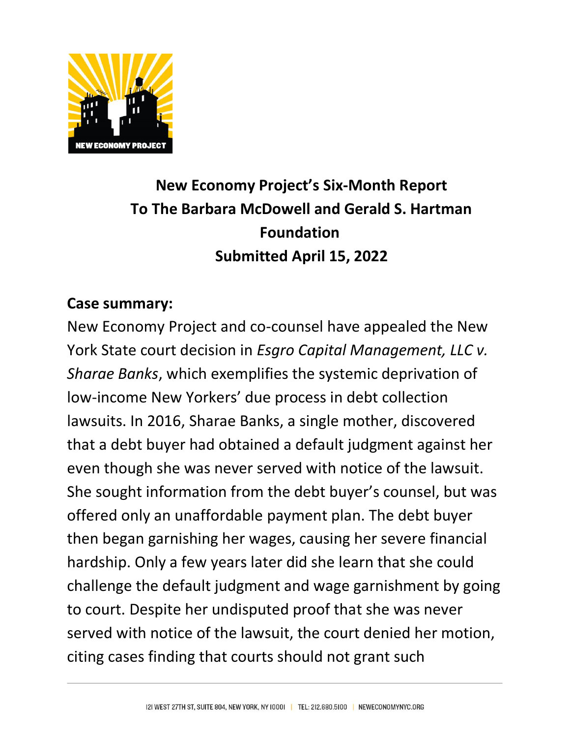

# **New Economy Project's Six-Month Report To The Barbara McDowell and Gerald S. Hartman Foundation Submitted April 15, 2022**

## **Case summary:**

New Economy Project and co-counsel have appealed the New York State court decision in *Esgro Capital Management, LLC v. Sharae Banks*, which exemplifies the systemic deprivation of low-income New Yorkers' due process in debt collection lawsuits. In 2016, Sharae Banks, a single mother, discovered that a debt buyer had obtained a default judgment against her even though she was never served with notice of the lawsuit. She sought information from the debt buyer's counsel, but was offered only an unaffordable payment plan. The debt buyer then began garnishing her wages, causing her severe financial hardship. Only a few years later did she learn that she could challenge the default judgment and wage garnishment by going to court. Despite her undisputed proof that she was never served with notice of the lawsuit, the court denied her motion, citing cases finding that courts should not grant such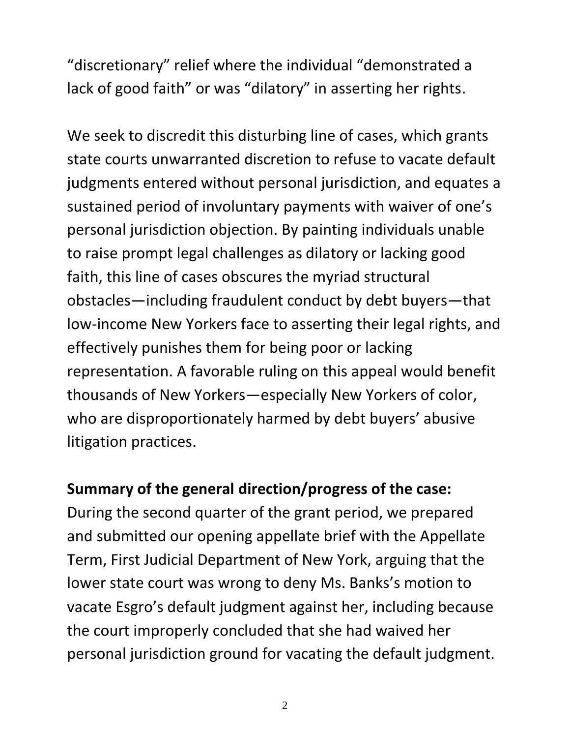"discretionary" relief where the individual "demonstrated a lack of good faith" or was "dilatory" in asserting her rights.

We seek to discredit this disturbing line of cases, which grants state courts unwarranted discretion to refuse to vacate default judgments entered without personal jurisdiction, and equates a sustained period of involuntary payments with waiver of one's personal jurisdiction objection. By painting individuals unable to raise prompt legal challenges as dilatory or lacking good faith, this line of cases obscures the myriad structural obstacles—including fraudulent conduct by debt buyers—that low-income New Yorkers face to asserting their legal rights, and effectively punishes them for being poor or lacking representation. A favorable ruling on this appeal would benefit thousands of New Yorkers—especially New Yorkers of color, who are disproportionately harmed by debt buyers' abusive litigation practices.

### **Summary of the general direction/progress of the case:**

During the second quarter of the grant period, we prepared and submitted our opening appellate brief with the Appellate Term, First Judicial Department of New York, arguing that the lower state court was wrong to deny Ms. Banks's motion to vacate Esgro's default judgment against her, including because the court improperly concluded that she had waived her personal jurisdiction ground for vacating the default judgment.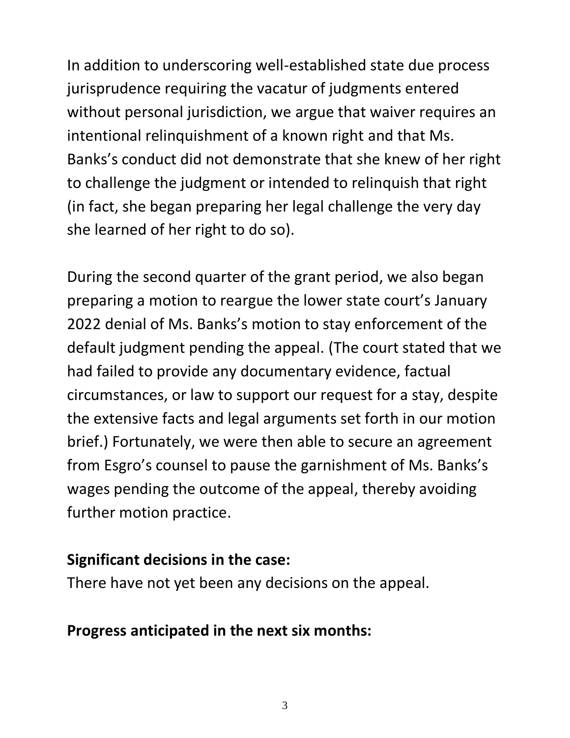In addition to underscoring well-established state due process jurisprudence requiring the vacatur of judgments entered without personal jurisdiction, we argue that waiver requires an intentional relinquishment of a known right and that Ms. Banks's conduct did not demonstrate that she knew of her right to challenge the judgment or intended to relinquish that right (in fact, she began preparing her legal challenge the very day she learned of her right to do so).

During the second quarter of the grant period, we also began preparing a motion to reargue the lower state court's January 2022 denial of Ms. Banks's motion to stay enforcement of the default judgment pending the appeal. (The court stated that we had failed to provide any documentary evidence, factual circumstances, or law to support our request for a stay, despite the extensive facts and legal arguments set forth in our motion brief.) Fortunately, we were then able to secure an agreement from Esgro's counsel to pause the garnishment of Ms. Banks's wages pending the outcome of the appeal, thereby avoiding further motion practice.

#### **Significant decisions in the case:**

There have not yet been any decisions on the appeal.

### **Progress anticipated in the next six months:**